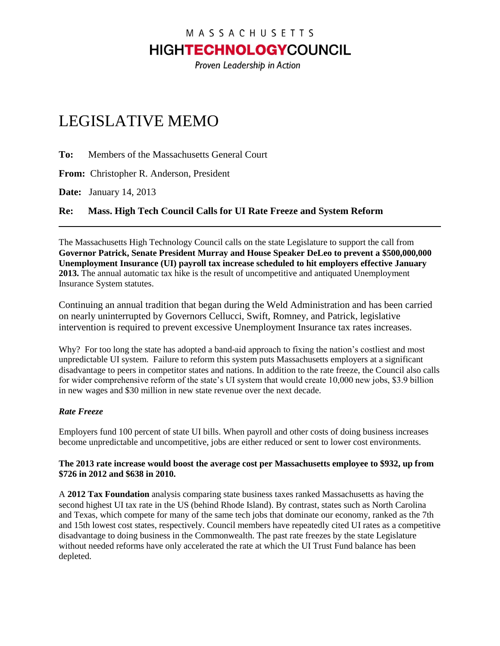## MASSACHUSETTS **HIGHTECHNOLOGY**COUNCIL

Proven Leadership in Action

# LEGISLATIVE MEMO

**To:** Members of the Massachusetts General Court

**From:** Christopher R. Anderson, President

**Date:** January 14, 2013

**Re: Mass. High Tech Council Calls for UI Rate Freeze and System Reform**

The Massachusetts High Technology Council calls on the state Legislature to support the call from **Governor Patrick, Senate President Murray and House Speaker DeLeo to prevent a \$500,000,000 Unemployment Insurance (UI) payroll tax increase scheduled to hit employers effective January 2013.** The annual automatic tax hike is the result of uncompetitive and antiquated Unemployment Insurance System statutes.

Continuing an annual tradition that began during the Weld Administration and has been carried on nearly uninterrupted by Governors Cellucci, Swift, Romney, and Patrick, legislative intervention is required to prevent excessive Unemployment Insurance tax rates increases.

Why? For too long the state has adopted a band-aid approach to fixing the nation's costliest and most unpredictable UI system. Failure to reform this system puts Massachusetts employers at a significant disadvantage to peers in competitor states and nations. In addition to the rate freeze, the Council also calls for wider comprehensive reform of the state's UI system that would create 10,000 new jobs, \$3.9 billion in new wages and \$30 million in new state revenue over the next decade.

### *Rate Freeze*

Employers fund 100 percent of state UI bills. When payroll and other costs of doing business increases become unpredictable and uncompetitive, jobs are either reduced or sent to lower cost environments.

#### **The 2013 rate increase would boost the average cost per Massachusetts employee to \$932, up from \$726 in 2012 and \$638 in 2010.**

A **2012 Tax Foundation** analysis comparing state business taxes ranked Massachusetts as having the second highest UI tax rate in the US (behind Rhode Island). By contrast, states such as North Carolina and Texas, which compete for many of the same tech jobs that dominate our economy, ranked as the 7th and 15th lowest cost states, respectively. Council members have repeatedly cited UI rates as a competitive disadvantage to doing business in the Commonwealth. The past rate freezes by the state Legislature without needed reforms have only accelerated the rate at which the UI Trust Fund balance has been depleted.